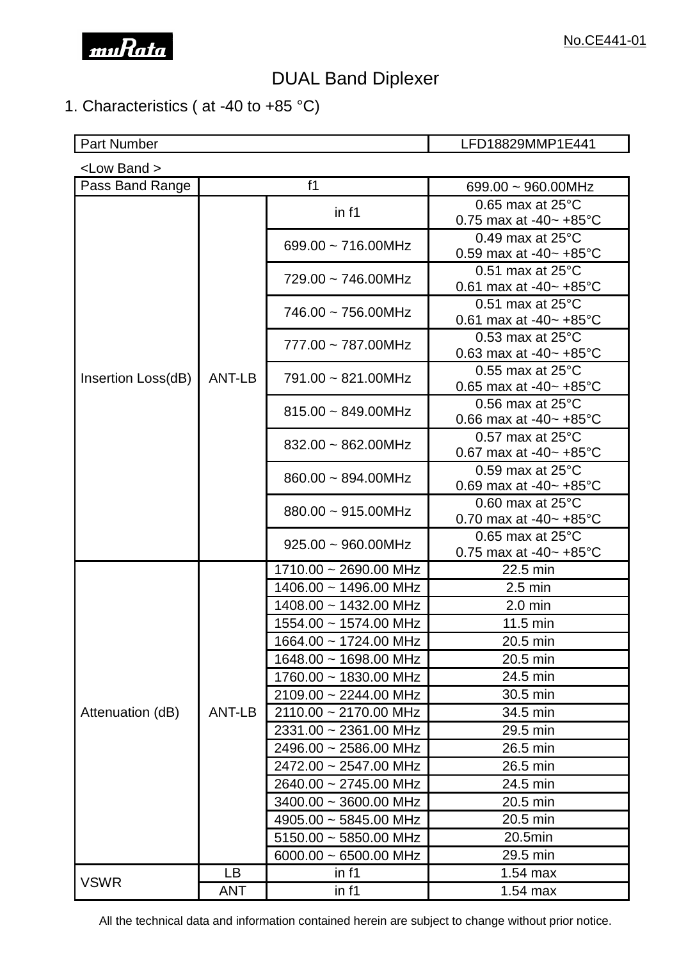

# DUAL Band Diplexer

## 1. Characteristics ( at -40 to +85 °C)

Part Number **LED18829MMP1E441** 

| <low band=""></low> |           |                            |                                                                       |  |  |  |
|---------------------|-----------|----------------------------|-----------------------------------------------------------------------|--|--|--|
| Pass Band Range     |           | f1                         | 699.00 $\sim$ 960.00MHz                                               |  |  |  |
|                     |           | in f1                      | $0.65$ max at $25^{\circ}$ C                                          |  |  |  |
|                     |           |                            | 0.75 max at -40 $\sim$ +85 $^{\circ}$ C                               |  |  |  |
|                     |           | 699.00 $\sim$ 716.00MHz    | 0.49 max at $25^{\circ}$ C                                            |  |  |  |
|                     |           |                            | 0.59 max at -40 $\sim$ +85 $^{\circ}$ C                               |  |  |  |
|                     |           | 729.00 ~ 746.00MHz         | 0.51 max at $25^{\circ}$ C                                            |  |  |  |
|                     |           |                            | 0.61 max at -40 $\sim$ +85 $^{\circ}$ C                               |  |  |  |
|                     |           | 746.00 ~ 756.00MHz         | 0.51 max at $25^{\circ}$ C<br>0.61 max at -40 $\sim$ +85 $^{\circ}$ C |  |  |  |
|                     |           |                            | $0.53$ max at $25^{\circ}$ C                                          |  |  |  |
|                     |           | 777.00 ~ 787.00MHz         | 0.63 max at -40 $\sim$ +85 °C                                         |  |  |  |
| Insertion Loss(dB)  | ANT-LB    | 791.00 ~ 821.00MHz         | $0.55$ max at $25^{\circ}$ C                                          |  |  |  |
|                     |           |                            | 0.65 max at -40 $\sim$ +85 °C                                         |  |  |  |
|                     |           | $815.00 \sim 849.00$ MHz   | 0.56 max at $25^{\circ}$ C                                            |  |  |  |
|                     |           |                            | 0.66 max at -40 $\sim$ +85 °C                                         |  |  |  |
|                     |           | $832.00 \sim 862.00$ MHz   | $0.57$ max at $25^{\circ}$ C<br>0.67 max at -40~ $+85^{\circ}$ C      |  |  |  |
|                     |           |                            | $0.59$ max at $25^{\circ}$ C                                          |  |  |  |
|                     |           | 860.00 ~ 894.00MHz         | 0.69 max at -40 $\sim$ +85 $^{\circ}$ C                               |  |  |  |
|                     |           |                            | 0.60 max at $25^{\circ}$ C                                            |  |  |  |
|                     |           | $880.00 \sim 915.00$ MHz   | 0.70 max at -40 $\sim$ +85 $^{\circ}$ C                               |  |  |  |
|                     |           |                            | 0.65 max at $25^{\circ}$ C                                            |  |  |  |
|                     |           | $925.00 \sim 960.00$ MHz   | 0.75 max at -40 $\sim$ +85 $^{\circ}$ C                               |  |  |  |
|                     |           | 1710.00 ~ 2690.00 MHz      | 22.5 min                                                              |  |  |  |
|                     |           | 1406.00 ~ 1496.00 MHz      | $2.5$ min                                                             |  |  |  |
|                     |           | 1408.00 ~ 1432.00 MHz      | $2.0$ min                                                             |  |  |  |
| Attenuation (dB)    | ANT-LB    | 1554.00 ~ 1574.00 MHz      | 11.5 min                                                              |  |  |  |
|                     |           | 1664.00 ~ 1724.00 MHz      | 20.5 min                                                              |  |  |  |
|                     |           | 1648.00 ~ 1698.00 MHz      | 20.5 min                                                              |  |  |  |
|                     |           | 1760.00 ~ 1830.00 MHz      | 24.5 min                                                              |  |  |  |
|                     |           | 2109.00 ~ 2244.00 MHz      | 30.5 min                                                              |  |  |  |
|                     |           | 2110.00 ~ 2170.00 MHz      | 34.5 min                                                              |  |  |  |
|                     |           | 2331.00 ~ 2361.00 MHz      | 29.5 min                                                              |  |  |  |
|                     |           | 2496.00 ~ 2586.00 MHz      | 26.5 min                                                              |  |  |  |
|                     |           | 2472.00 ~ 2547.00 MHz      | 26.5 min                                                              |  |  |  |
|                     |           | 2640.00 ~ 2745.00 MHz      | 24.5 min                                                              |  |  |  |
|                     |           | $3400.00 \sim 3600.00$ MHz | 20.5 min                                                              |  |  |  |
|                     |           | $4905.00 \sim 5845.00$ MHz | 20.5 min                                                              |  |  |  |
|                     |           | $5150.00 \sim 5850.00$ MHz | 20.5min                                                               |  |  |  |
|                     |           | $6000.00 \sim 6500.00$ MHz | 29.5 min                                                              |  |  |  |
|                     | <b>LB</b> | in f1                      | 1.54 max                                                              |  |  |  |
| <b>VSWR</b>         | ANT       | in f1                      | $1.54$ max                                                            |  |  |  |

All the technical data and information contained herein are subject to change without prior notice.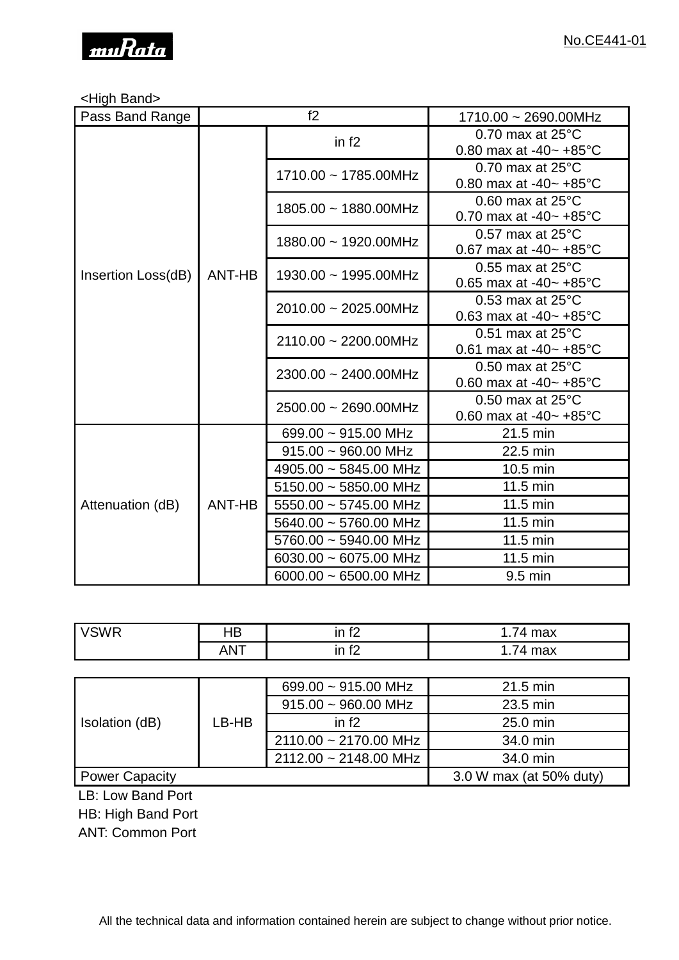

### <High Band>

| Pass Band Range    | f2     |                            | 1710.00 ~ 2690.00MHz                                                  |
|--------------------|--------|----------------------------|-----------------------------------------------------------------------|
|                    |        | in $f2$                    | 0.70 max at $25^{\circ}$ C<br>0.80 max at -40 $\sim$ +85 $^{\circ}$ C |
|                    |        | 1710.00 ~ 1785.00MHz       | 0.70 max at $25^{\circ}$ C<br>0.80 max at -40 $\sim$ +85 $^{\circ}$ C |
|                    |        | 1805.00 ~ 1880.00MHz       | 0.60 max at $25^{\circ}$ C<br>0.70 max at -40 $\sim$ +85 $^{\circ}$ C |
|                    |        | 1880.00 ~ 1920.00MHz       | 0.57 max at $25^{\circ}$ C<br>0.67 max at -40 $\sim$ +85 $^{\circ}$ C |
| Insertion Loss(dB) | ANT-HB | 1930.00 ~ 1995.00MHz       | 0.55 max at $25^{\circ}$ C<br>0.65 max at -40 $\sim$ +85 $^{\circ}$ C |
|                    |        | 2010.00 ~ 2025.00MHz       | 0.53 max at $25^{\circ}$ C<br>0.63 max at -40 $\sim$ +85 $^{\circ}$ C |
|                    |        | 2110.00 ~ 2200.00MHz       | 0.51 max at $25^{\circ}$ C<br>0.61 max at -40 $\sim$ +85 $^{\circ}$ C |
|                    |        | 2300.00 ~ 2400.00MHz       | 0.50 max at $25^{\circ}$ C<br>0.60 max at -40 $\sim$ +85 $^{\circ}$ C |
|                    |        | 2500.00 ~ 2690.00MHz       | 0.50 max at $25^{\circ}$ C<br>0.60 max at -40 $\sim$ +85 $^{\circ}$ C |
| Attenuation (dB)   | ANT-HB | 699.00 $\sim$ 915.00 MHz   | 21.5 min                                                              |
|                    |        | $915.00 \sim 960.00$ MHz   | 22.5 min                                                              |
|                    |        | 4905.00 ~ 5845.00 MHz      | 10.5 min                                                              |
|                    |        | $5150.00 \sim 5850.00$ MHz | 11.5 min                                                              |
|                    |        | $5550.00 \sim 5745.00$ MHz | 11.5 min                                                              |
|                    |        | 5640.00 ~ 5760.00 MHz      | 11.5 min                                                              |
|                    |        | 5760.00 ~ 5940.00 MHz      | 11.5 min                                                              |
|                    |        | 6030.00 $\sim$ 6075.00 MHz | 11.5 min                                                              |
|                    |        | $6000.00 \sim 6500.00$ MHz | $9.5$ min                                                             |

| <b>VSWR</b> | טו      | $\mathbf{in}$ for<br>$\sim$ | max<br>∸<br>.                |
|-------------|---------|-----------------------------|------------------------------|
|             | AN<br>. | $\epsilon$<br>$\sim$<br>.   | mov<br>$\overline{ }$<br>шал |

| Isolation (dB)        | LB-HB | 699.00 $\sim$ 915.00 MHz | 21.5 min                |
|-----------------------|-------|--------------------------|-------------------------|
|                       |       | $915.00 \sim 960.00$ MHz | 23.5 min                |
|                       |       | in $f2$<br>$25.0$ min    |                         |
|                       |       | 2110.00 ~ 2170.00 MHz    | 34.0 min                |
|                       |       | 2112.00 ~ 2148.00 MHz    | 34.0 min                |
| <b>Power Capacity</b> |       |                          | 3.0 W max (at 50% duty) |

LB: Low Band Port

HB: High Band Port

ANT: Common Port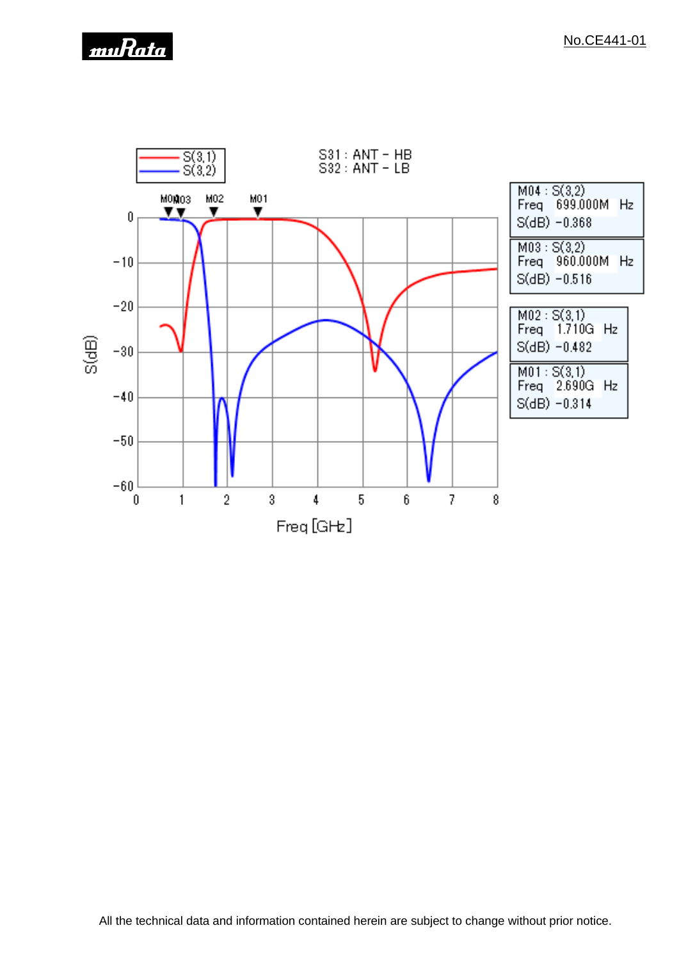

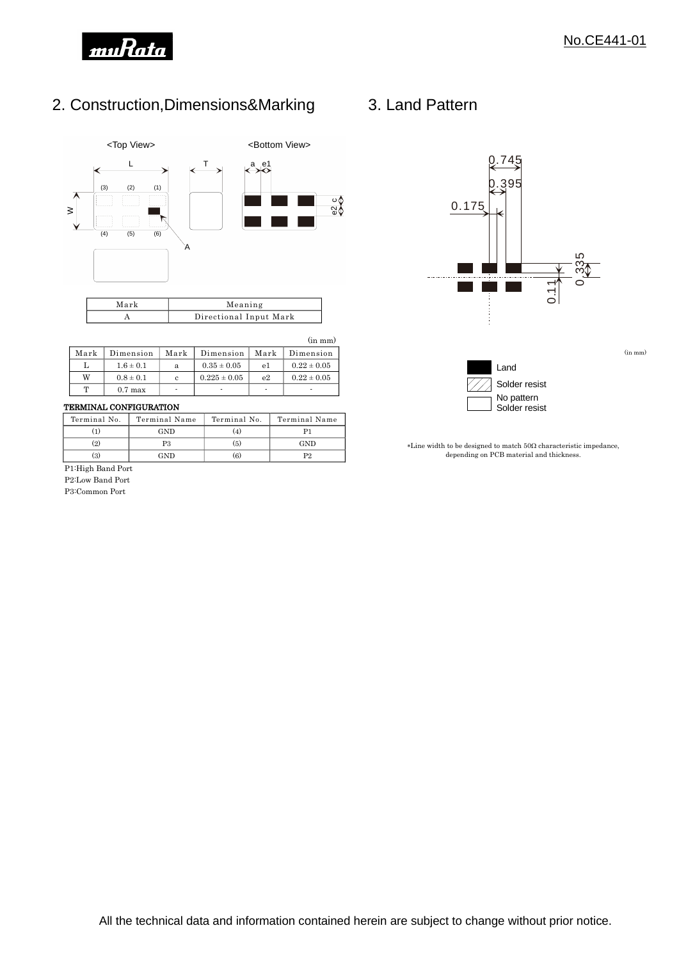

(in mm)

## 2. Construction,Dimensions&Marking



| Mark | Meaning                |
|------|------------------------|
|      | Directional Input Mark |
|      |                        |

#### (in mm)

| $0.22 \pm 0.05$<br>$0.35 \pm 0.05$<br>$1.6 \pm 0.1$<br>e1<br>a<br>W<br>$0.22 \pm 0.05$<br>$0.225 \pm 0.05$<br>$0.8 \pm 0.1$<br>e <sub>2</sub><br>c<br>m<br>$0.7$ max<br>٠<br>۰ | Mark | Dimension | Mark | Dimension | Mark | Dimension |
|--------------------------------------------------------------------------------------------------------------------------------------------------------------------------------|------|-----------|------|-----------|------|-----------|
|                                                                                                                                                                                |      |           |      |           |      |           |
|                                                                                                                                                                                |      |           |      |           |      |           |
|                                                                                                                                                                                |      |           |      |           |      |           |

#### TERMINAL CONFIGURATION

| Terminal No. | Terminal Name | Terminal No. | Terminal Name |
|--------------|---------------|--------------|---------------|
|              | GND           | 4.           |               |
| (2)          | P3            | (5)          | GND           |
| (3)          | GND           | (6)          | D9            |

P1:High Band Port

P2:Low Band Port

P3:Common Port

### 3. Land Pattern



 $*$ Line width to be designed to match  $50\Omega$  characteristic impedance, depending on PCB material and thickness.

Solder resist